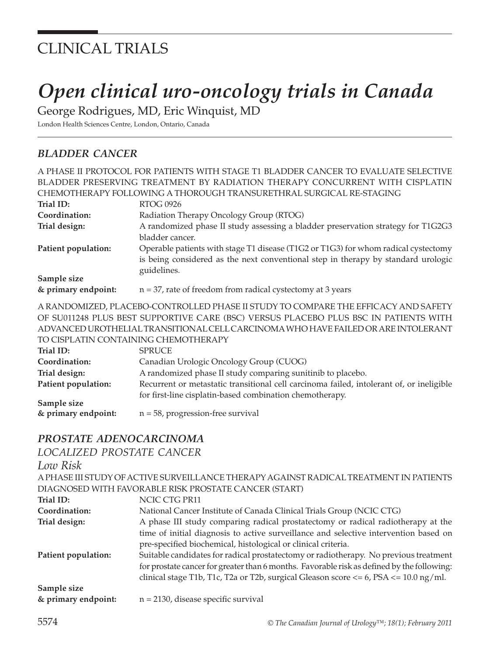## CLINICAL TRIALS

# *Open clinical uro-oncology trials in Canada*

George Rodrigues, MD, Eric Winquist, MD

London Health Sciences Centre, London, Ontario, Canada

## *bladder cancer*

|                         | A PHASE II PROTOCOL FOR PATIENTS WITH STAGE T1 BLADDER CANCER TO EVALUATE SELECTIVE                                                                                                    |
|-------------------------|----------------------------------------------------------------------------------------------------------------------------------------------------------------------------------------|
|                         | BLADDER PRESERVING TREATMENT BY RADIATION THERAPY CONCURRENT WITH CISPLATIN                                                                                                            |
|                         | CHEMOTHERAPY FOLLOWING A THOROUGH TRANSURETHRAL SURGICAL RE-STAGING                                                                                                                    |
| Trial ID:               | <b>RTOG 0926</b>                                                                                                                                                                       |
| Coordination:           | Radiation Therapy Oncology Group (RTOG)                                                                                                                                                |
| Trial design:           | A randomized phase II study assessing a bladder preservation strategy for T1G2G3                                                                                                       |
|                         | bladder cancer.                                                                                                                                                                        |
| Patient population:     | Operable patients with stage T1 disease (T1G2 or T1G3) for whom radical cystectomy<br>is being considered as the next conventional step in therapy by standard urologic<br>guidelines. |
| Sample size             |                                                                                                                                                                                        |
| & primary endpoint:     | $n = 37$ , rate of freedom from radical cystectomy at 3 years                                                                                                                          |
|                         | A RANDOMIZED, PLACEBO-CONTROLLED PHASE II STUDY TO COMPARE THE EFFICACY AND SAFETY                                                                                                     |
|                         | OF SU011248 PLUS BEST SUPPORTIVE CARE (BSC) VERSUS PLACEBO PLUS BSC IN PATIENTS WITH                                                                                                   |
|                         | ADVANCED UROTHELIAL TRANSITIONAL CELL CARCINOMA WHO HAVE FAILED OR ARE INTOLERANT                                                                                                      |
|                         | TO CISPLATIN CONTAINING CHEMOTHERAPY                                                                                                                                                   |
| Trial ID:               | <b>SPRUCE</b>                                                                                                                                                                          |
| Coordination:           | Canadian Urologic Oncology Group (CUOG)                                                                                                                                                |
| Trial design:           | A randomized phase II study comparing sunitinib to placebo.                                                                                                                            |
| Patient population:     | Recurrent or metastatic transitional cell carcinoma failed, intolerant of, or ineligible                                                                                               |
|                         | for first-line cisplatin-based combination chemotherapy.                                                                                                                               |
| Sample size             |                                                                                                                                                                                        |
| & primary endpoint:     | $n = 58$ , progression-free survival                                                                                                                                                   |
| PROSTATE ADENOCARCINOMA |                                                                                                                                                                                        |
| I                       |                                                                                                                                                                                        |

## *localized prostate cancer*

| Low Risk                           |                                                                                                                                                                                                                                                                                 |
|------------------------------------|---------------------------------------------------------------------------------------------------------------------------------------------------------------------------------------------------------------------------------------------------------------------------------|
|                                    | A PHASE III STUDY OF ACTIVE SURVEILLANCE THERAPY AGAINST RADICAL TREATMENT IN PATIENTS                                                                                                                                                                                          |
|                                    | DIAGNOSED WITH FAVORABLE RISK PROSTATE CANCER (START)                                                                                                                                                                                                                           |
| Trial ID:                          | NCIC CTG PR11                                                                                                                                                                                                                                                                   |
| Coordination:                      | National Cancer Institute of Canada Clinical Trials Group (NCIC CTG)                                                                                                                                                                                                            |
| Trial design:                      | A phase III study comparing radical prostatectomy or radical radiotherapy at the                                                                                                                                                                                                |
|                                    | time of initial diagnosis to active surveillance and selective intervention based on<br>pre-specified biochemical, histological or clinical criteria.                                                                                                                           |
| Patient population:                | Suitable candidates for radical prostatectomy or radiotherapy. No previous treatment<br>for prostate cancer for greater than 6 months. Favorable risk as defined by the following:<br>clinical stage T1b, T1c, T2a or T2b, surgical Gleason score $<= 6$ , PSA $<= 10.0$ ng/ml. |
| Sample size<br>& primary endpoint: | $n = 2130$ , disease specific survival                                                                                                                                                                                                                                          |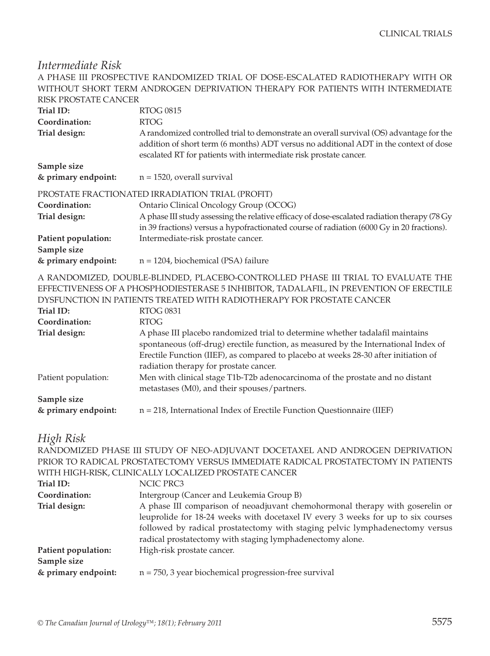### *Intermediate Risk*

|                                    | A PHASE III PROSPECTIVE RANDOMIZED TRIAL OF DOSE-ESCALATED RADIOTHERAPY WITH OR<br>WITHOUT SHORT TERM ANDROGEN DEPRIVATION THERAPY FOR PATIENTS WITH INTERMEDIATE                                                                                                                                     |
|------------------------------------|-------------------------------------------------------------------------------------------------------------------------------------------------------------------------------------------------------------------------------------------------------------------------------------------------------|
| <b>RISK PROSTATE CANCER</b>        |                                                                                                                                                                                                                                                                                                       |
| Trial ID:                          | <b>RTOG 0815</b>                                                                                                                                                                                                                                                                                      |
| Coordination:                      | <b>RTOG</b>                                                                                                                                                                                                                                                                                           |
| Trial design:                      | A randomized controlled trial to demonstrate an overall survival (OS) advantage for the<br>addition of short term (6 months) ADT versus no additional ADT in the context of dose<br>escalated RT for patients with intermediate risk prostate cancer.                                                 |
| Sample size                        |                                                                                                                                                                                                                                                                                                       |
| & primary endpoint:                | $n = 1520$ , overall survival                                                                                                                                                                                                                                                                         |
|                                    | PROSTATE FRACTIONATED IRRADIATION TRIAL (PROFIT)                                                                                                                                                                                                                                                      |
| Coordination:                      | Ontario Clinical Oncology Group (OCOG)                                                                                                                                                                                                                                                                |
| Trial design:                      | A phase III study assessing the relative efficacy of dose-escalated radiation therapy (78 Gy<br>in 39 fractions) versus a hypofractionated course of radiation (6000 Gy in 20 fractions).                                                                                                             |
| Patient population:<br>Sample size | Intermediate-risk prostate cancer.                                                                                                                                                                                                                                                                    |
| & primary endpoint:                | $n = 1204$ , biochemical (PSA) failure                                                                                                                                                                                                                                                                |
|                                    | A RANDOMIZED, DOUBLE-BLINDED, PLACEBO-CONTROLLED PHASE III TRIAL TO EVALUATE THE<br>EFFECTIVENESS OF A PHOSPHODIESTERASE 5 INHIBITOR, TADALAFIL, IN PREVENTION OF ERECTILE<br>DYSFUNCTION IN PATIENTS TREATED WITH RADIOTHERAPY FOR PROSTATE CANCER                                                   |
| Trial ID:                          | <b>RTOG 0831</b>                                                                                                                                                                                                                                                                                      |
| Coordination:                      | <b>RTOG</b>                                                                                                                                                                                                                                                                                           |
| Trial design:                      | A phase III placebo randomized trial to determine whether tadalafil maintains<br>spontaneous (off-drug) erectile function, as measured by the International Index of<br>Erectile Function (IIEF), as compared to placebo at weeks 28-30 after initiation of<br>radiation therapy for prostate cancer. |
| Patient population:                | Men with clinical stage T1b-T2b adenocarcinoma of the prostate and no distant<br>metastases (M0), and their spouses/partners.                                                                                                                                                                         |
| Sample size                        |                                                                                                                                                                                                                                                                                                       |
| & primary endpoint:                | $n = 218$ , International Index of Erectile Function Questionnaire (IIEF)                                                                                                                                                                                                                             |
| <b>TTI 1 THI</b>                   |                                                                                                                                                                                                                                                                                                       |

#### *High Risk*

RANDOMIZED PHASE III STUDY OF NEO-ADJUVANT DOCETAXEL AND ANDROGEN DEPRIVATION PRIOR TO RADICAL PROSTATECTOMY VERSUS IMMEDIATE RADICAL PROSTATECTOMY IN PATIENTS WITH HIGH-RISK, CLINICALLY LOCALIZED PROSTATE CANCER

| Trial ID:           | NCIC PRC3                                                                        |
|---------------------|----------------------------------------------------------------------------------|
| Coordination:       | Intergroup (Cancer and Leukemia Group B)                                         |
| Trial design:       | A phase III comparison of neoadjuvant chemohormonal therapy with goserelin or    |
|                     | leuprolide for 18-24 weeks with docetaxel IV every 3 weeks for up to six courses |
|                     | followed by radical prostatectomy with staging pelvic lymphadenectomy versus     |
|                     | radical prostatectomy with staging lymphadenectomy alone.                        |
| Patient population: | High-risk prostate cancer.                                                       |
| Sample size         |                                                                                  |
| & primary endpoint: | $n = 750$ , 3 year biochemical progression-free survival                         |
|                     |                                                                                  |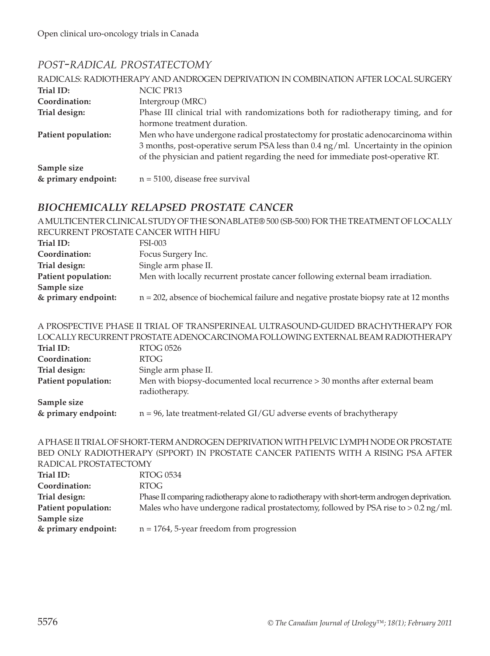## *post-radical prostatectomy*

|                     | RADICALS: RADIOTHERAPY AND ANDROGEN DEPRIVATION IN COMBINATION AFTER LOCAL SURGERY |
|---------------------|------------------------------------------------------------------------------------|
| Trial ID:           | NCIC PR13                                                                          |
| Coordination:       | Intergroup (MRC)                                                                   |
| Trial design:       | Phase III clinical trial with randomizations both for radiotherapy timing, and for |
|                     | hormone treatment duration.                                                        |
| Patient population: | Men who have undergone radical prostatectomy for prostatic adenocarcinoma within   |
|                     | 3 months, post-operative serum PSA less than 0.4 ng/ml. Uncertainty in the opinion |
|                     | of the physician and patient regarding the need for immediate post-operative RT.   |
| Sample size         |                                                                                    |
| & primary endpoint: | $n = 5100$ , disease free survival                                                 |

#### *biochemically relapsed prostate cancer*

A MULTICENTER CLINICAL STUDY OF THE SONABLATE® 500 (SB-500) FOR THE TREATMENT OF LOCALLY RECURRENT PROSTATE CANCER WITH HIFU **Trial ID:** FSI-003 **Coordination:** Focus Surgery Inc. **Trial design:** Single arm phase II. **Patient population:** Men with locally recurrent prostate cancer following external beam irradiation. **Sample size & primary endpoint:** n = 202, absence of biochemical failure and negative prostate biopsy rate at 12 months

A PROSPECTIVE PHASE II TRIAL OF TRANSPERINEAL ULTRASOUND-GUIDED BRACHYTHERAPY FOR LOCALLY RECURRENT PROSTATE ADENOCARCINOMA FOLLOWING EXTERNAL BEAM RADIOTHERAPY

| Trial ID:<br>Coordination: | RTOG 0526<br>RTOG-                                                                           |
|----------------------------|----------------------------------------------------------------------------------------------|
|                            |                                                                                              |
| Trial design:              | Single arm phase II.                                                                         |
| Patient population:        | Men with biopsy-documented local recurrence > 30 months after external beam<br>radiotherapy. |
| Sample size                |                                                                                              |
| & primary endpoint:        | $n = 96$ , late treatment-related GI/GU adverse events of brachytherapy                      |

#### A PHASE II TRIAL OF SHORT-TERM ANDROGEN DEPRIVATION WITH PELVIC LYMPH NODE OR PROSTATE BED ONLY RADIOTHERAPY (SPPORT) IN PROSTATE CANCER PATIENTS WITH A RISING PSA AFTER RADICAL PROSTATECTOMY

| Trial ID:           | RTOG 0534                                                                                   |
|---------------------|---------------------------------------------------------------------------------------------|
| Coordination:       | <b>RTOG</b>                                                                                 |
| Trial design:       | Phase II comparing radiotherapy alone to radiotherapy with short-term androgen deprivation. |
| Patient population: | Males who have undergone radical prostatectomy, followed by PSA rise to $> 0.2$ ng/ml.      |
| Sample size         |                                                                                             |
| & primary endpoint: | $n = 1764$ , 5-year freedom from progression                                                |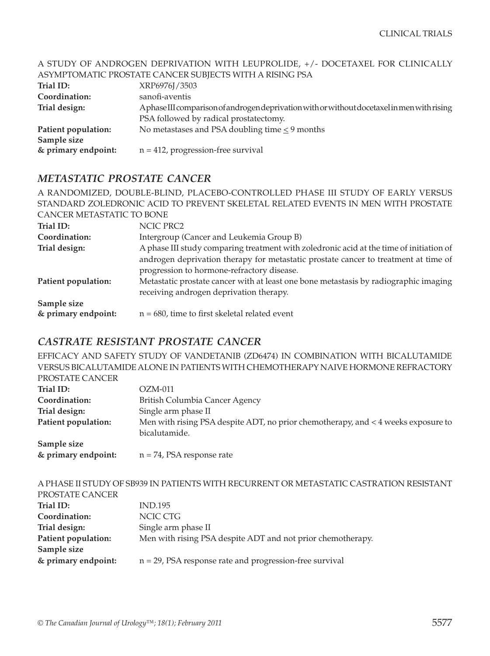#### A STUDY OF ANDROGEN DEPRIVATION WITH LEUPROLIDE, +/- DOCETAXEL FOR CLINICALLY ASYMPTOMATIC PROSTATE CANCER SUBJECTS WITH A RISING PSA

|                     | ASTMPTOMATIC PROSTATE CAINCER SUBJECTS WITH A RISING PSA                                   |
|---------------------|--------------------------------------------------------------------------------------------|
| Trial ID:           | XRP6976J/3503                                                                              |
| Coordination:       | sanofi-aventis                                                                             |
| Trial design:       | Aphase III comparison of androgen deprivation with or without docetaxel in men with rising |
|                     | PSA followed by radical prostatectomy.                                                     |
| Patient population: | No metastases and PSA doubling time $\leq$ 9 months                                        |
| Sample size         |                                                                                            |
| & primary endpoint: | $n = 412$ , progression-free survival                                                      |

#### *metastatic prostate cancer*

|                           | A RANDOMIZED, DOUBLE-BLIND, PLACEBO-CONTROLLED PHASE III STUDY OF EARLY VERSUS          |
|---------------------------|-----------------------------------------------------------------------------------------|
|                           | STANDARD ZOLEDRONIC ACID TO PREVENT SKELETAL RELATED EVENTS IN MEN WITH PROSTATE        |
| CANCER METASTATIC TO BONE |                                                                                         |
| Trial ID:                 | NCIC PRC2                                                                               |
| Coordination:             | Intergroup (Cancer and Leukemia Group B)                                                |
| Trial design:             | A phase III study comparing treatment with zoledronic acid at the time of initiation of |
|                           | androgen deprivation therapy for metastatic prostate cancer to treatment at time of     |
|                           | progression to hormone-refractory disease.                                              |
| Patient population:       | Metastatic prostate cancer with at least one bone metastasis by radiographic imaging    |
|                           | receiving androgen deprivation therapy.                                                 |
| Sample size               |                                                                                         |
| & primary endpoint:       | $n = 680$ , time to first skeletal related event                                        |

#### *castrate resistant prostate cancer*

EFFICACY AND SAFETY STUDY OF VANDETANIB (ZD6474) IN COMBINATION WITH BICALUTAMIDE VERSUS BICALUTAMIDE ALONE IN PATIENTS WITH CHEMOTHERAPY NAIVE HORMONE REFRACTORY PROSTATE CANCER

| Trial ID:           | $OZM-011$                                                                           |
|---------------------|-------------------------------------------------------------------------------------|
| Coordination:       | British Columbia Cancer Agency                                                      |
| Trial design:       | Single arm phase II                                                                 |
| Patient population: | Men with rising PSA despite ADT, no prior chemotherapy, and $<$ 4 weeks exposure to |
|                     | bicalutamide.                                                                       |
| Sample size         |                                                                                     |
| & primary endpoint: | $n = 74$ , PSA response rate                                                        |

|                     | A PHASE II STUDY OF SB939 IN PATIENTS WITH RECURRENT OR METASTATIC CASTRATION RESISTANT |
|---------------------|-----------------------------------------------------------------------------------------|
| PROSTATE CANCER     |                                                                                         |
| Trial ID:           | <b>IND.195</b>                                                                          |
| Coordination:       | NCIC CTG                                                                                |
| Trial design:       | Single arm phase II                                                                     |
| Patient population: | Men with rising PSA despite ADT and not prior chemotherapy.                             |
| Sample size         |                                                                                         |
| & primary endpoint: | $n = 29$ , PSA response rate and progression-free survival                              |
|                     |                                                                                         |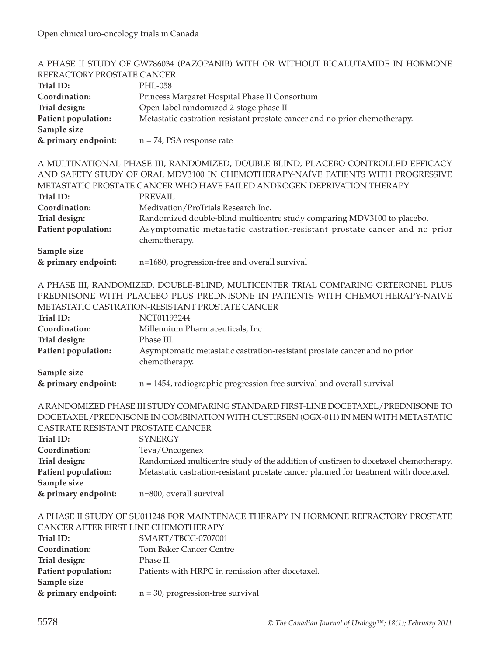|                                      | A PHASE II STUDY OF GW786034 (PAZOPANIB) WITH OR WITHOUT BICALUTAMIDE IN HORMONE      |
|--------------------------------------|---------------------------------------------------------------------------------------|
| REFRACTORY PROSTATE CANCER           |                                                                                       |
| Trial ID:                            | PHL-058                                                                               |
| Coordination:                        | Princess Margaret Hospital Phase II Consortium                                        |
| Trial design:                        | Open-label randomized 2-stage phase II                                                |
| Patient population:<br>Sample size   | Metastatic castration-resistant prostate cancer and no prior chemotherapy.            |
| & primary endpoint:                  | $n = 74$ , PSA response rate                                                          |
|                                      |                                                                                       |
|                                      | A MULTINATIONAL PHASE III, RANDOMIZED, DOUBLE-BLIND, PLACEBO-CONTROLLED EFFICACY      |
|                                      | AND SAFETY STUDY OF ORAL MDV3100 IN CHEMOTHERAPY-NAÏVE PATIENTS WITH PROGRESSIVE      |
|                                      | METASTATIC PROSTATE CANCER WHO HAVE FAILED ANDROGEN DEPRIVATION THERAPY               |
| Trial ID:                            | <b>PREVAIL</b>                                                                        |
| Coordination:                        | Medivation/ProTrials Research Inc.                                                    |
| Trial design:                        | Randomized double-blind multicentre study comparing MDV3100 to placebo.               |
| Patient population:                  | Asymptomatic metastatic castration-resistant prostate cancer and no prior             |
|                                      | chemotherapy.                                                                         |
| Sample size                          |                                                                                       |
| & primary endpoint:                  | n=1680, progression-free and overall survival                                         |
|                                      |                                                                                       |
|                                      | A PHASE III, RANDOMIZED, DOUBLE-BLIND, MULTICENTER TRIAL COMPARING ORTERONEL PLUS     |
|                                      | PREDNISONE WITH PLACEBO PLUS PREDNISONE IN PATIENTS WITH CHEMOTHERAPY-NAIVE           |
|                                      | METASTATIC CASTRATION-RESISTANT PROSTATE CANCER                                       |
| Trial ID:                            | NCT01193244                                                                           |
| Coordination:                        | Millennium Pharmaceuticals, Inc.                                                      |
| Trial design:                        | Phase III.                                                                            |
| Patient population:                  | Asymptomatic metastatic castration-resistant prostate cancer and no prior             |
|                                      | chemotherapy.                                                                         |
|                                      |                                                                                       |
|                                      |                                                                                       |
| Sample size<br>& primary endpoint:   | $n = 1454$ , radiographic progression-free survival and overall survival              |
|                                      |                                                                                       |
|                                      | A RANDOMIZED PHASE III STUDY COMPARING STANDARD FIRST-LINE DOCETAXEL/PREDNISONE TO    |
|                                      | DOCETAXEL/PREDNISONE IN COMBINATION WITH CUSTIRSEN (OGX-011) IN MEN WITH METASTATIC   |
| CASTRATE RESISTANT PROSTATE CANCER   |                                                                                       |
| Trial ID:                            | <b>SYNERGY</b>                                                                        |
| Coordination:                        |                                                                                       |
|                                      | Teva/Oncogenex                                                                        |
| Trial design:                        | Randomized multicentre study of the addition of custirsen to docetaxel chemotherapy.  |
| Patient population:                  | Metastatic castration-resistant prostate cancer planned for treatment with docetaxel. |
| Sample size<br>& primary endpoint:   | n=800, overall survival                                                               |
|                                      |                                                                                       |
|                                      | A PHASE II STUDY OF SU011248 FOR MAINTENACE THERAPY IN HORMONE REFRACTORY PROSTATE    |
| CANCER AFTER FIRST LINE CHEMOTHERAPY |                                                                                       |
| Trial ID:                            | SMART/TBCC-0707001                                                                    |
| Coordination:                        | <b>Tom Baker Cancer Centre</b>                                                        |
| Trial design:                        | Phase II.                                                                             |
| Patient population:                  | Patients with HRPC in remission after docetaxel.                                      |
| Sample size                          |                                                                                       |
| & primary endpoint:                  | $n = 30$ , progression-free survival                                                  |
|                                      |                                                                                       |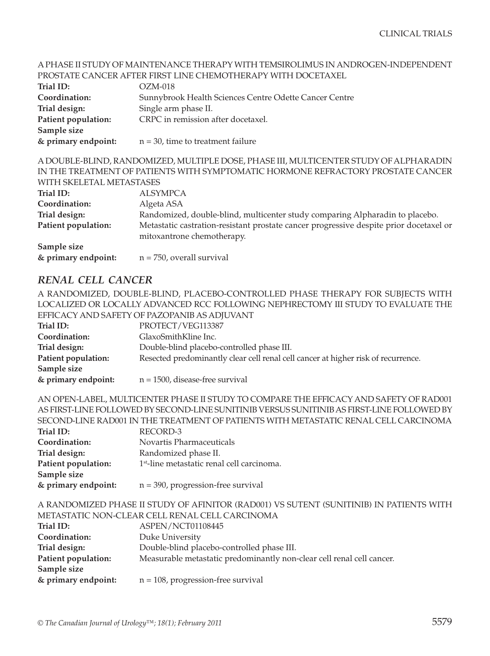#### A PHASE II STUDY OF MAINTENANCE THERAPY WITH TEMSIROLIMUS IN ANDROGEN-INDEPENDENT PROSTATE CANCER AFTER FIRST LINE CHEMOTHERAPY WITH DOCETAXEL

| $OZM-018$                                              |
|--------------------------------------------------------|
| Sunnybrook Health Sciences Centre Odette Cancer Centre |
| Single arm phase II.                                   |
| CRPC in remission after docetaxel.                     |
|                                                        |
| $n = 30$ , time to treatment failure                   |
|                                                        |

A DOUBLE-BLIND, RANDOMIZED, MULTIPLE DOSE, PHASE III, MULTICENTER STUDY OF ALPHARADIN IN THE TREATMENT OF PATIENTS WITH SYMPTOMATIC HORMONE REFRACTORY PROSTATE CANCER WITH SKELETAL METASTASES

| Trial ID:           | ALSYMPCA                                                                                                             |
|---------------------|----------------------------------------------------------------------------------------------------------------------|
| Coordination:       | Algeta ASA                                                                                                           |
| Trial design:       | Randomized, double-blind, multicenter study comparing Alpharadin to placebo.                                         |
| Patient population: | Metastatic castration-resistant prostate cancer progressive despite prior docetaxel or<br>mitoxantrone chemotherapy. |
| Sample size         |                                                                                                                      |
| & primary endpoint: | $n = 750$ , overall survival                                                                                         |

#### *renal cell cancer*

A RANDOMIZED, DOUBLE-BLIND, PLACEBO-CONTROLLED PHASE THERAPY FOR SUBJECTS WITH LOCALIZED OR LOCALLY ADVANCED RCC FOLLOWING NEPHRECTOMY III STUDY TO EVALUATE THE EEEICACY AND SAFETY OF PAZOPANIB AS ADJUVANT

|                     | LITER LITTLE ON LITTLE OF THE CHANGE OF THE CHANGE                                |
|---------------------|-----------------------------------------------------------------------------------|
| Trial ID:           | PROTECT/VEG113387                                                                 |
| Coordination:       | GlaxoSmithKline Inc.                                                              |
| Trial design:       | Double-blind placebo-controlled phase III.                                        |
| Patient population: | Resected predominantly clear cell renal cell cancer at higher risk of recurrence. |
| Sample size         |                                                                                   |
| & primary endpoint: | $n = 1500$ , disease-free survival                                                |

AN OPEN-LABEL, MULTICENTER PHASE II STUDY TO COMPARE THE EFFICACY AND SAFETY OF RAD001 AS FIRST-LINE FOLLOWED BY SECOND-LINE SUNITINIB VERSUS SUNITINIB AS FIRST-LINE FOLLOWED BY SECOND-LINE RAD001 IN THE TREATMENT OF PATIENTS WITH METASTATIC RENAL CELL CARCINOMA **Trial ID:** RECORD-3 **Coordination:** Novartis Pharmaceuticals **Trial design:** Randomized phase II. **Patient population:** 1<sup>st</sup>-line metastatic renal cell carcinoma. **Sample size & primary endpoint:** n = 390, progression-free survival

A RANDOMIZED PHASE II STUDY OF AFINITOR (RAD001) VS SUTENT (SUNITINIB) IN PATIENTS WITH METASTATIC NON-CLEAR CELL RENAL CELL CARCINOMA **Trial ID:** ASPEN/NCT01108445 **Coordination:** Duke University **Trial design:** Double-blind placebo-controlled phase III.

|  | <b>Patient population:</b> |  |  | Measurable metastatic predominantly non-clear cell renal cell cancer. |
|--|----------------------------|--|--|-----------------------------------------------------------------------|
|--|----------------------------|--|--|-----------------------------------------------------------------------|

**& primary endpoint:** n = 108, progression-free survival

**Sample size**